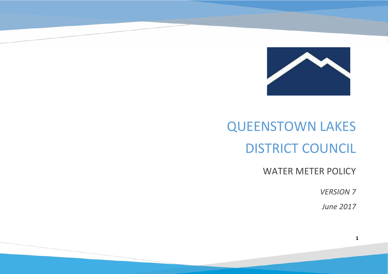

# QUEENSTOWN LAKES DISTRICT COUNCIL

WATER METER POLICY

*VERSION 7*

*June 2017*

**1**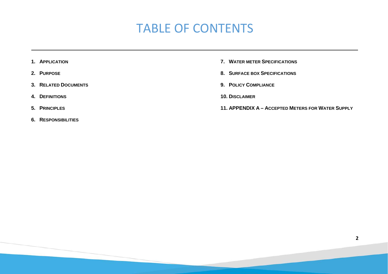# TABLE OF CONTENTS

- **1. APPLICATION**
- **2. PURPOSE**
- **3. RELATED DOCUMENTS**
- **4. DEFINITIONS**
- **5. PRINCIPLES**
- **6. RESPONSIBILITIES**
- **7. WATER METER SPECIFICATIONS**
- **8. SURFACE BOX SPECIFICATIONS**
- **9. POLICY COMPLIANCE**
- **10. DISCLAIMER**
- **11. APPENDIX A – ACCEPTED METERS FOR WATER SUPPLY**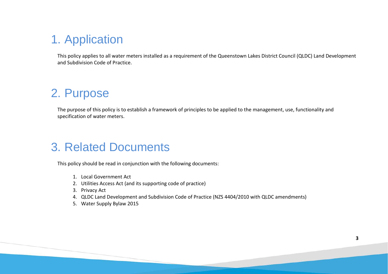### 1. Application

This policy applies to all water meters installed as a requirement of the Queenstown Lakes District Council (QLDC) Land Development and Subdivision Code of Practice.

#### 2. Purpose

The purpose of this policy is to establish a framework of principles to be applied to the management, use, functionality and specification of water meters.

#### 3. Related Documents

This policy should be read in conjunction with the following documents:

- 1. Local Government Act
- 2. Utilities Access Act (and its supporting code of practice)
- 3. Privacy Act
- 4. QLDC Land Development and Subdivision Code of Practice (NZS 4404/2010 with QLDC amendments)
- 5. Water Supply Bylaw 2015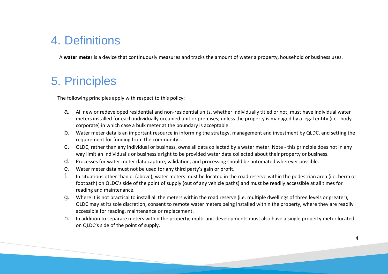#### 4. Definitions

A **water meter** is a device that continuously measures and tracks the amount of water a property, household or business uses.

#### 5. Principles

The following principles apply with respect to this policy:

- a. All new or redeveloped residential and non-residential units, whether individually titled or not, must have individual water meters installed for each individually occupied unit or premises; unless the property is managed by a legal entity (i.e. body corporate) in which case a bulk meter at the boundary is acceptable.
- b. Water meter data is an important resource in informing the strategy, management and investment by QLDC, and setting the requirement for funding from the community.
- c. QLDC, rather than any individual or business, owns all data collected by a water meter. Note this principle does not in any way limit an individual's or business's right to be provided water data collected about their property or business.
- d. Processes for water meter data capture, validation, and processing should be automated wherever possible.
- e. Water meter data must not be used for any third party's gain or profit.
- f. In situations other than e. (above), water meters must be located in the road reserve within the pedestrian area (i.e. berm or footpath) on QLDC's side of the point of supply (out of any vehicle paths) and must be readily accessible at all times for reading and maintenance.
- g. Where it is not practical to install all the meters within the road reserve (i.e. multiple dwellings of three levels or greater), QLDC may at its sole discretion, consent to remote water meters being installed within the property, where they are readily accessible for reading, maintenance or replacement.
- h. In addition to separate meters within the property, multi-unit developments must also have a single property meter located on QLDC's side of the point of supply.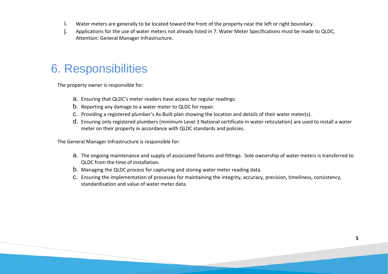- i. Water meters are generally to be located toward the front of the property near the left or right boundary.
- j. Applications for the use of water meters not already listed in 7. Water Meter Specifications must be made to QLDC, Attention: General Manager Infrastructure.

#### 6. Responsibilities

The property owner is responsible for:

- a. Ensuring that QLDC's meter readers have access for regular readings.
- b. Reporting any damage to a water meter to QLDC for repair.
- c. Providing a registered plumber's As-Built plan showing the location and details of their water meter(s).
- d. Ensuring only registered plumbers (minimum Level 3 National certificate in water reticulation) are used to install a water meter on their property in accordance with QLDC standards and policies.

The General Manager Infrastructure is responsible for:

- a. The ongoing maintenance and supply of associated fixtures and fittings. Sole ownership of water meters is transferred to QLDC from the time of installation.
- b. Managing the QLDC process for capturing and storing water meter reading data.
- c. Ensuring the implementation of processes for maintaining the integrity, accuracy, precision, timeliness, consistency, standardisation and value of water meter data.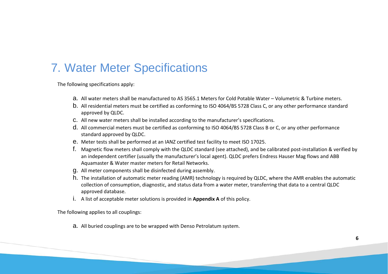#### 7. Water Meter Specifications

The following specifications apply:

- a. All water meters shall be manufactured to AS 3565.1 Meters for Cold Potable Water Volumetric & Turbine meters.
- b. All residential meters must be certified as conforming to ISO 4064/BS 5728 Class C, or any other performance standard approved by QLDC.
- c. All new water meters shall be installed according to the manufacturer's specifications.
- d. All commercial meters must be certified as conforming to ISO 4064/BS 5728 Class B or C, or any other performance standard approved by QLDC.
- e. Meter tests shall be performed at an IANZ certified test facility to meet ISO 17025.
- f. Magnetic flow meters shall comply with the QLDC standard (see attached), and be calibrated post-installation & verified by an independent certifier (usually the manufacturer's local agent). QLDC prefers Endress Hauser Mag flows and ABB Aquamaster & Water master meters for Retail Networks.
- g. All meter components shall be disinfected during assembly.
- h. The installation of automatic meter reading (AMR) technology is required by QLDC, where the AMR enables the automatic collection of consumption, diagnostic, and status data from a [water meter,](http://en.wikipedia.org/wiki/Water_meter) transferring that data to a central QLDC approved database.
- i. A list of acceptable meter solutions is provided in **Appendix A** of this policy.

The following applies to all couplings:

a. All buried couplings are to be wrapped with Denso Petrolatum system.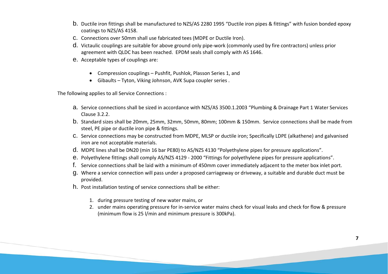- b. Ductile iron fittings shall be manufactured to NZS/AS 2280 1995 "Ductile iron pipes & fittings" with fusion bonded epoxy coatings to NZS/AS 4158.
- c. Connections over 50mm shall use fabricated tees (MDPE or Ductile Iron).
- d. Victaulic couplings are suitable for above ground only pipe-work (commonly used by fire contractors) unless prior agreement with QLDC has been reached. EPDM seals shall comply with AS 1646.
- e. Acceptable types of couplings are:
	- Compression couplings Pushfit, Pushlok, Plasson Series 1, and
	- Gibaults Tyton, Viking Johnson, AVK Supa coupler series .

The following applies to all Service Connections :

- a. Service connections shall be sized in accordance with NZS/AS 3500.1.2003 "Plumbing & Drainage Part 1 Water Services Clause 3.2.2.
- b. Standard sizes shall be 20mm, 25mm, 32mm, 50mm, 80mm; 100mm & 150mm. Service connections shall be made from steel, PE pipe or ductile iron pipe & fittings.
- c. Service connections may be constructed from MDPE, MLSP or ductile iron; Specifically LDPE (alkathene) and galvanised iron are not acceptable materials.
- d. MDPE lines shall be DN20 (min 16 bar PE80) to AS/NZS 4130 "Polyethylene pipes for pressure applications".
- e. Polyethylene fittings shall comply AS/NZS 4129 2000 "Fittings for polyethylene pipes for pressure applications".
- f. Service connections shall be laid with a minimum of 450mm cover immediately adjacent to the meter box inlet port.
- g. Where a service connection will pass under a proposed carriageway or driveway, a suitable and durable duct must be provided.
- h. Post installation testing of service connections shall be either:
	- 1. during pressure testing of new water mains, or
	- 2. under mains operating pressure for in-service water mains check for visual leaks and check for flow & pressure (minimum flow is 25 l/min and minimum pressure is 300kPa).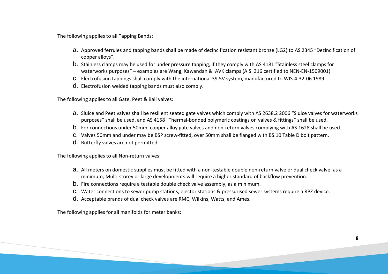The following applies to all Tapping Bands:

- a. Approved ferrules and tapping bands shall be made of dezincification resistant bronze (LG2) to AS 2345 "Dezincification of copper alloys".
- b. Stainless clamps may be used for under pressure tapping, if they comply with AS 4181 "Stainless steel clamps for waterworks purposes" – examples are Wang, Kawandah & AVK clamps (AISI 316 certified to NEN-EN-1509001).
- c. Electrofusion tappings shall comply with the international 39.5V system, manufactured to WIS-4-32-06 1989.
- d. Electrofusion welded tapping bands must also comply.

The following applies to all Gate, Peet & Ball valves:

- a. Sluice and Peet valves shall be resilient seated gate valves which comply with AS 2638.2 2006 "Sluice valves for waterworks purposes" shall be used, and AS 4158 "Thermal-bonded polymeric coatings on valves & fittings" shall be used.
- b. For connections under 50mm, copper alloy gate valves and non-return valves complying with AS 1628 shall be used.
- c. Valves 50mm and under may be BSP screw-fitted, over 50mm shall be flanged with BS.10 Table D bolt pattern.
- d. Butterfly valves are not permitted.

The following applies to all Non-return valves:

- a. All meters on domestic supplies must be fitted with a non-testable double non-return valve or dual check valve, as a minimum; Multi-storey or large developments will require a higher standard of backflow prevention.
- b. Fire connections require a testable double check valve assembly, as a minimum.
- c. Water connections to sewer pump stations, ejector stations & pressurised sewer systems require a RPZ device.
- d. Acceptable brands of dual check valves are RMC, Wilkins, Watts, and Ames.

The following applies for all manifolds for meter banks: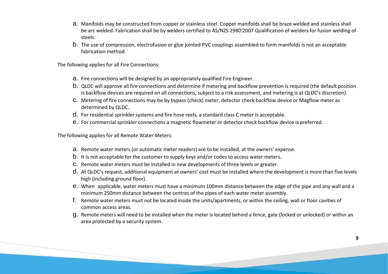- a. Manifolds may be constructed from copper or stainless steel. Copper manifolds shall be braze welded and stainless shall be arc welded. Fabrication shall be by welders certified to AS/NZS 2980:2007 Qualification of welders for fusion welding of steels.
- b. The use of compression, electrofusion or glue jointed PVC couplings assembled to form manifolds is not an acceptable fabrication method.

The following applies for all Fire Connections:

- a. Fire connections will be designed by an appropriately qualified Fire Engineer.
- b. QLDC will approve all fire connections and determine if metering and backflow prevention is required (the default position is backflow devices are required on all connections, subject to a risk assessment, and metering is at QLDC's discretion).
- c. Metering of fire connections may be by bypass (check) meter, detector check backflow device or Magflow meter as determined by QLDC.
- d. For residential sprinkler systems and fire hose reels, a standard class C meter is acceptable.
- e. For commercial sprinkler connections a magnetic flowmeter or detector check backflow device is preferred.

The following applies for all Remote Water Meters:

- a. Remote water meters (or automatic meter readers) are to be installed, at the owners' expense.
- b. It is not acceptable for the customer to supply keys and/or codes to access water meters.
- c. Remote water meters must be installed in new developments of three levels or greater.
- d. At QLDC's request, additional equipment at owners' cost must be installed where the development is more than five levels high (including ground floor).
- e. When applicable, water meters must have a minimum 100mm distance between the edge of the pipe and any wall and a minimum 250mm distance between the centres of the pipes of each water meter assembly.
- f. Remote water meters must not be located inside the units/apartments, or within the ceiling, wall or floor cavities of common access areas.
- g. Remote meters will need to be installed when the meter is located behind a fence, gate (locked or unlocked) or within an area protected by a security system.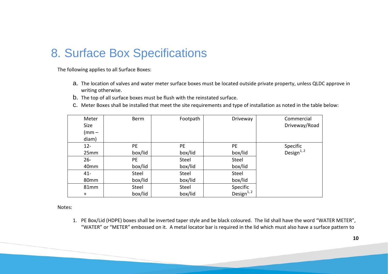#### 8. Surface Box Specifications

The following applies to all Surface Boxes:

- a. The location of valves and water meter surface boxes must be located outside private property, unless QLDC approve in writing otherwise.
- b. The top of all surface boxes must be flush with the reinstated surface.
- c. Meter Boxes shall be installed that meet the site requirements and type of installation as noted in the table below:

| Meter       | <b>Berm</b> | Footpath     | Driveway         | Commercial       |
|-------------|-------------|--------------|------------------|------------------|
| <b>Size</b> |             |              |                  | Driveway/Road    |
| $(mm -$     |             |              |                  |                  |
| diam)       |             |              |                  |                  |
| $12 -$      | PE.         | PE.          | <b>PE</b>        | Specific         |
| 25mm        | box/lid     | box/lid      | box/lid          | Design $^{1, 2}$ |
| $26 -$      | PE.         | Steel        | Steel            |                  |
| 40mm        | box/lid     | box/lid      | box/lid          |                  |
| $41 -$      | Steel       | <b>Steel</b> | Steel            |                  |
| 80mm        | box/lid     | box/lid      | box/lid          |                  |
| 81mm        | Steel       | <b>Steel</b> | Specific         |                  |
| $\ddot{}$   | box/lid     | box/lid      | Design $^{1, 2}$ |                  |

Notes:

1. PE Box/Lid (HDPE) boxes shall be inverted taper style and be black coloured. The lid shall have the word "WATER METER", "WATER" or "METER" embossed on it. A metal locator bar is required in the lid which must also have a surface pattern to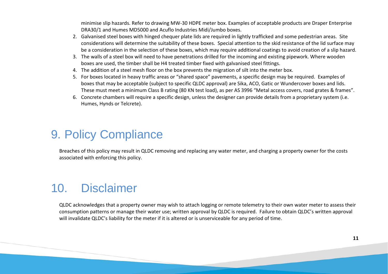minimise slip hazards. Refer to drawing MW-30 HDPE meter box. Examples of acceptable products are Draper Enterprise DRA30/1 and Humes MD5000 and Acuflo Industries Midi/Jumbo boxes.

- 2. Galvanised steel boxes with hinged chequer plate lids are required in lightly trafficked and some pedestrian areas. Site considerations will determine the suitability of these boxes. Special attention to the skid resistance of the lid surface may be a consideration in the selection of these boxes, which may require additional coatings to avoid creation of a slip hazard.
- 3. The walls of a steel box will need to have penetrations drilled for the incoming and existing pipework. Where wooden boxes are used, the timber shall be H4 treated timber fixed with galvanised steel fittings.
- 4. The addition of a steel mesh floor on the box prevents the migration of silt into the meter box.
- 5. For boxes located in heavy traffic areas or "shared space" pavements, a specific design may be required. Examples of boxes that may be acceptable (subject to specific QLDC approval) are Sika, ACO, Gatic or Wundercover boxes and lids. These must meet a minimum Class B rating (80 KN test load), as per AS 3996 "Metal access covers, road grates & frames".
- 6. Concrete chambers will require a specific design, unless the designer can provide details from a proprietary system (i.e. Humes, Hynds or Telcrete).

### 9. Policy Compliance

Breaches of this policy may result in QLDC removing and replacing any water meter, and charging a property owner for the costs associated with enforcing this policy.

# 10. Disclaimer

QLDC acknowledges that a property owner may wish to attach logging or remote telemetry to their own water meter to assess their consumption patterns or manage their water use; written approval by QLDC is required. Failure to obtain QLDC's written approval will invalidate QLDC's liability for the meter if it is altered or is unserviceable for any period of time.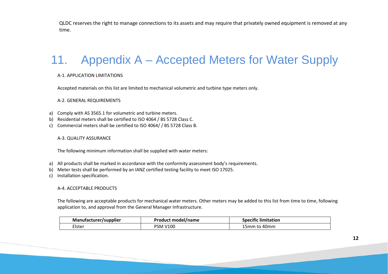QLDC reserves the right to manage connections to its assets and may require that privately owned equipment is removed at any time.

# 11. Appendix A – Accepted Meters for Water Supply

#### A-1. APPLICATION LIMITATIONS

Accepted materials on this list are limited to mechanical volumetric and turbine type meters only.

A-2. GENERAL REQUIREMENTS

- a) Comply with AS 3565.1 for volumetric and turbine meters.
- b) Residential meters shall be certified to ISO 4064 / BS 5728 Class C.
- c) Commercial meters shall be certified to ISO 4064/ / BS 5728 Class B.

A-3. QUALITY ASSURANCE

The following minimum information shall be supplied with water meters:

- a) All products shall be marked in accordance with the conformity assessment body's requirements.
- b) Meter tests shall be performed by an IANZ certified testing facility to meet ISO 17025.
- c) Installation specification.

#### A-4. ACCEPTABLE PRODUCTS

The following are acceptable products for mechanical water meters. Other meters may be added to this list from time to time, following application to, and approval from the General Manager Infrastructure.

| <b>Manufacturer/supplier</b> | Product model/name | .<br><b>Specific limitation</b> |
|------------------------------|--------------------|---------------------------------|
| Elster                       | <b>PSM V100</b>    | 40mm<br>5 <sub>mm</sub>         |